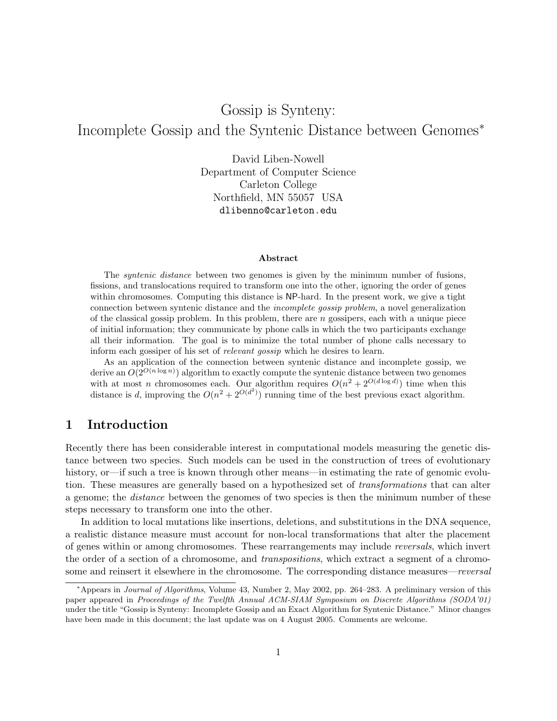# Gossip is Synteny: Incomplete Gossip and the Syntenic Distance between Genomes<sup>∗</sup>

David Liben-Nowell Department of Computer Science Carleton College Northfield, MN 55057 USA dlibenno@carleton.edu

#### Abstract

The *syntenic distance* between two genomes is given by the minimum number of fusions, fissions, and translocations required to transform one into the other, ignoring the order of genes within chromosomes. Computing this distance is NP-hard. In the present work, we give a tight connection between syntenic distance and the incomplete gossip problem, a novel generalization of the classical gossip problem. In this problem, there are  $n$  gossipers, each with a unique piece of initial information; they communicate by phone calls in which the two participants exchange all their information. The goal is to minimize the total number of phone calls necessary to inform each gossiper of his set of relevant gossip which he desires to learn.

As an application of the connection between syntenic distance and incomplete gossip, we derive an  $O(2^{O(n \log n)})$  algorithm to exactly compute the syntenic distance between two genomes with at most *n* chromosomes each. Our algorithm requires  $O(n^2 + 2^{O(d \log d)})$  time when this distance is d, improving the  $O(n^2 + 2^{O(d^2)})$  running time of the best previous exact algorithm.

# 1 Introduction

Recently there has been considerable interest in computational models measuring the genetic distance between two species. Such models can be used in the construction of trees of evolutionary history, or—if such a tree is known through other means—in estimating the rate of genomic evolution. These measures are generally based on a hypothesized set of transformations that can alter a genome; the distance between the genomes of two species is then the minimum number of these steps necessary to transform one into the other.

In addition to local mutations like insertions, deletions, and substitutions in the DNA sequence, a realistic distance measure must account for non-local transformations that alter the placement of genes within or among chromosomes. These rearrangements may include reversals, which invert the order of a section of a chromosome, and transpositions, which extract a segment of a chromosome and reinsert it elsewhere in the chromosome. The corresponding distance measures—reversal

<sup>∗</sup>Appears in Journal of Algorithms, Volume 43, Number 2, May 2002, pp. 264–283. A preliminary version of this paper appeared in Proceedings of the Twelfth Annual ACM-SIAM Symposium on Discrete Algorithms (SODA'01) under the title "Gossip is Synteny: Incomplete Gossip and an Exact Algorithm for Syntenic Distance." Minor changes have been made in this document; the last update was on 4 August 2005. Comments are welcome.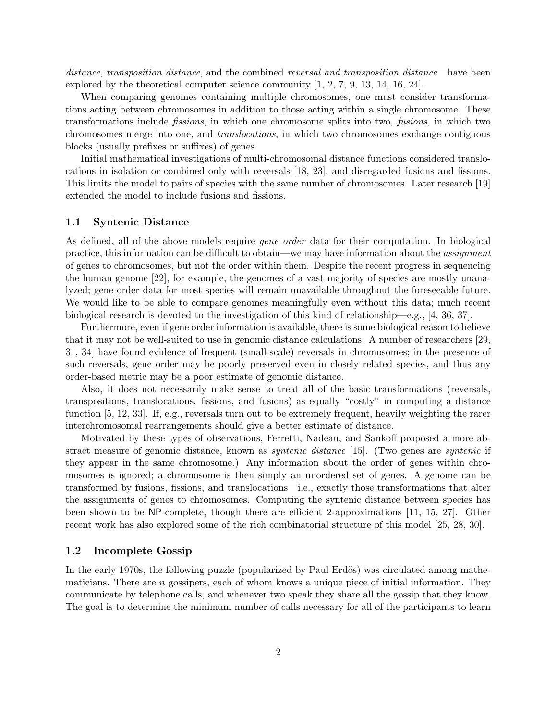distance, transposition distance, and the combined reversal and transposition distance—have been explored by the theoretical computer science community [1, 2, 7, 9, 13, 14, 16, 24].

When comparing genomes containing multiple chromosomes, one must consider transformations acting between chromosomes in addition to those acting within a single chromosome. These transformations include fissions, in which one chromosome splits into two, fusions, in which two chromosomes merge into one, and translocations, in which two chromosomes exchange contiguous blocks (usually prefixes or suffixes) of genes.

Initial mathematical investigations of multi-chromosomal distance functions considered translocations in isolation or combined only with reversals [18, 23], and disregarded fusions and fissions. This limits the model to pairs of species with the same number of chromosomes. Later research [19] extended the model to include fusions and fissions.

#### 1.1 Syntenic Distance

As defined, all of the above models require gene order data for their computation. In biological practice, this information can be difficult to obtain—we may have information about the assignment of genes to chromosomes, but not the order within them. Despite the recent progress in sequencing the human genome [22], for example, the genomes of a vast majority of species are mostly unanalyzed; gene order data for most species will remain unavailable throughout the foreseeable future. We would like to be able to compare genomes meaningfully even without this data; much recent biological research is devoted to the investigation of this kind of relationship—e.g., [4, 36, 37].

Furthermore, even if gene order information is available, there is some biological reason to believe that it may not be well-suited to use in genomic distance calculations. A number of researchers [29, 31, 34] have found evidence of frequent (small-scale) reversals in chromosomes; in the presence of such reversals, gene order may be poorly preserved even in closely related species, and thus any order-based metric may be a poor estimate of genomic distance.

Also, it does not necessarily make sense to treat all of the basic transformations (reversals, transpositions, translocations, fissions, and fusions) as equally "costly" in computing a distance function [5, 12, 33]. If, e.g., reversals turn out to be extremely frequent, heavily weighting the rarer interchromosomal rearrangements should give a better estimate of distance.

Motivated by these types of observations, Ferretti, Nadeau, and Sankoff proposed a more abstract measure of genomic distance, known as syntenic distance [15]. (Two genes are syntenic if they appear in the same chromosome.) Any information about the order of genes within chromosomes is ignored; a chromosome is then simply an unordered set of genes. A genome can be transformed by fusions, fissions, and translocations—i.e., exactly those transformations that alter the assignments of genes to chromosomes. Computing the syntenic distance between species has been shown to be NP-complete, though there are efficient 2-approximations [11, 15, 27]. Other recent work has also explored some of the rich combinatorial structure of this model [25, 28, 30].

### 1.2 Incomplete Gossip

In the early 1970s, the following puzzle (popularized by Paul Erdös) was circulated among mathematicians. There are  $n$  gossipers, each of whom knows a unique piece of initial information. They communicate by telephone calls, and whenever two speak they share all the gossip that they know. The goal is to determine the minimum number of calls necessary for all of the participants to learn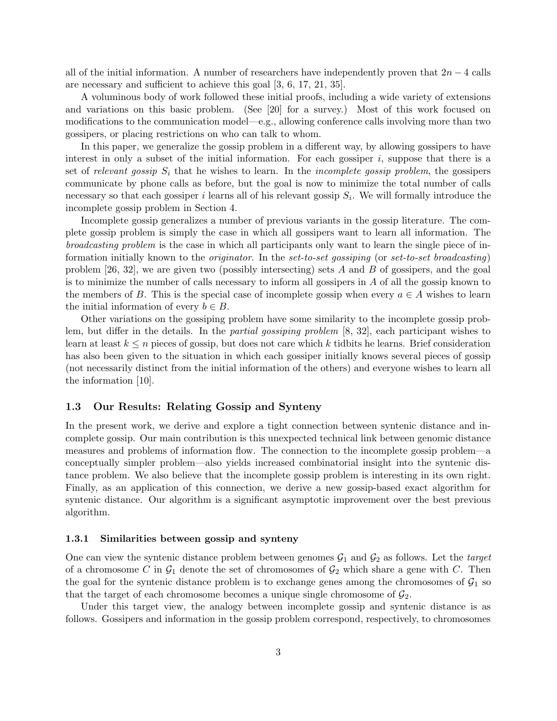all of the initial information. A number of researchers have independently proven that  $2n-4$  calls are necessary and sufficient to achieve this goal [3, 6, 17, 21, 35].

A voluminous body of work followed these initial proofs, including a wide variety of extensions and variations on this basic problem. (See [20] for a survey.) Most of this work focused on modifications to the communication model—e.g., allowing conference calls involving more than two gossipers, or placing restrictions on who can talk to whom.

In this paper, we generalize the gossip problem in a different way, by allowing gossipers to have interest in only a subset of the initial information. For each gossiper  $i$ , suppose that there is a set of relevant gossip  $S_i$  that he wishes to learn. In the *incomplete gossip problem*, the gossipers communicate by phone calls as before, but the goal is now to minimize the total number of calls necessary so that each gossiper i learns all of his relevant gossip  $S_i$ . We will formally introduce the incomplete gossip problem in Section 4.

Incomplete gossip generalizes a number of previous variants in the gossip literature. The complete gossip problem is simply the case in which all gossipers want to learn all information. The broadcasting problem is the case in which all participants only want to learn the single piece of information initially known to the originator. In the set-to-set gossiping (or set-to-set broadcasting) problem  $[26, 32]$ , we are given two (possibly intersecting) sets A and B of gossipers, and the goal is to minimize the number of calls necessary to inform all gossipers in A of all the gossip known to the members of B. This is the special case of incomplete gossip when every  $a \in A$  wishes to learn the initial information of every  $b \in B$ .

Other variations on the gossiping problem have some similarity to the incomplete gossip problem, but differ in the details. In the partial gossiping problem [8, 32], each participant wishes to learn at least  $k \leq n$  pieces of gossip, but does not care which k tidbits he learns. Brief consideration has also been given to the situation in which each gossiper initially knows several pieces of gossip (not necessarily distinct from the initial information of the others) and everyone wishes to learn all the information [10].

### 1.3 Our Results: Relating Gossip and Synteny

In the present work, we derive and explore a tight connection between syntenic distance and incomplete gossip. Our main contribution is this unexpected technical link between genomic distance measures and problems of information flow. The connection to the incomplete gossip problem—a conceptually simpler problem—also yields increased combinatorial insight into the syntenic distance problem. We also believe that the incomplete gossip problem is interesting in its own right. Finally, as an application of this connection, we derive a new gossip-based exact algorithm for syntenic distance. Our algorithm is a significant asymptotic improvement over the best previous algorithm.

#### 1.3.1 Similarities between gossip and synteny

One can view the syntenic distance problem between genomes  $G_1$  and  $G_2$  as follows. Let the *target* of a chromosome C in  $\mathcal{G}_1$  denote the set of chromosomes of  $\mathcal{G}_2$  which share a gene with C. Then the goal for the syntenic distance problem is to exchange genes among the chromosomes of  $\mathcal{G}_1$  so that the target of each chromosome becomes a unique single chromosome of  $\mathcal{G}_2$ .

Under this target view, the analogy between incomplete gossip and syntenic distance is as follows. Gossipers and information in the gossip problem correspond, respectively, to chromosomes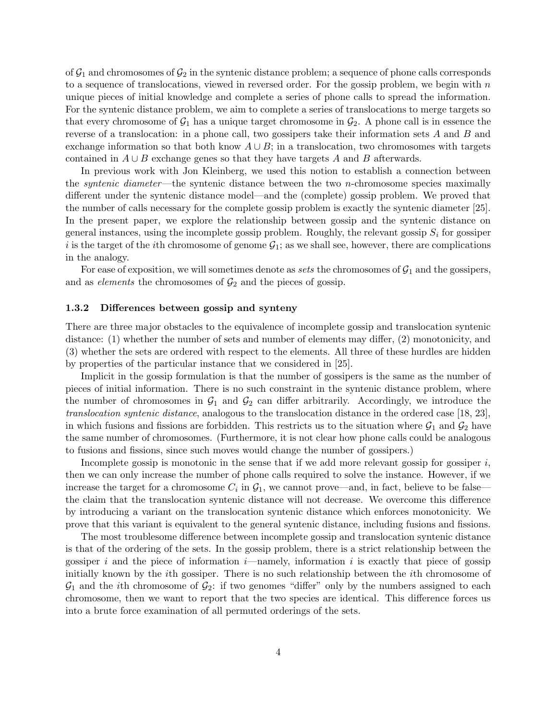of  $\mathcal{G}_1$  and chromosomes of  $\mathcal{G}_2$  in the syntenic distance problem; a sequence of phone calls corresponds to a sequence of translocations, viewed in reversed order. For the gossip problem, we begin with  $n$ unique pieces of initial knowledge and complete a series of phone calls to spread the information. For the syntenic distance problem, we aim to complete a series of translocations to merge targets so that every chromosome of  $G_1$  has a unique target chromosome in  $G_2$ . A phone call is in essence the reverse of a translocation: in a phone call, two gossipers take their information sets A and B and exchange information so that both know  $A \cup B$ ; in a translocation, two chromosomes with targets contained in  $A \cup B$  exchange genes so that they have targets A and B afterwards.

In previous work with Jon Kleinberg, we used this notion to establish a connection between the syntenic diameter—the syntenic distance between the two n-chromosome species maximally different under the syntenic distance model—and the (complete) gossip problem. We proved that the number of calls necessary for the complete gossip problem is exactly the syntenic diameter [25]. In the present paper, we explore the relationship between gossip and the syntenic distance on general instances, using the incomplete gossip problem. Roughly, the relevant gossip  $S_i$  for gossiper i is the target of the ith chromosome of genome  $G_1$ ; as we shall see, however, there are complications in the analogy.

For ease of exposition, we will sometimes denote as *sets* the chromosomes of  $\mathcal{G}_1$  and the gossipers, and as *elements* the chromosomes of  $\mathcal{G}_2$  and the pieces of gossip.

#### 1.3.2 Differences between gossip and synteny

There are three major obstacles to the equivalence of incomplete gossip and translocation syntenic distance: (1) whether the number of sets and number of elements may differ, (2) monotonicity, and (3) whether the sets are ordered with respect to the elements. All three of these hurdles are hidden by properties of the particular instance that we considered in [25].

Implicit in the gossip formulation is that the number of gossipers is the same as the number of pieces of initial information. There is no such constraint in the syntenic distance problem, where the number of chromosomes in  $G_1$  and  $G_2$  can differ arbitrarily. Accordingly, we introduce the translocation syntenic distance, analogous to the translocation distance in the ordered case [18, 23], in which fusions and fissions are forbidden. This restricts us to the situation where  $G_1$  and  $G_2$  have the same number of chromosomes. (Furthermore, it is not clear how phone calls could be analogous to fusions and fissions, since such moves would change the number of gossipers.)

Incomplete gossip is monotonic in the sense that if we add more relevant gossip for gossiper  $i$ , then we can only increase the number of phone calls required to solve the instance. However, if we increase the target for a chromosome  $C_i$  in  $\mathcal{G}_1$ , we cannot prove—and, in fact, believe to be false the claim that the translocation syntenic distance will not decrease. We overcome this difference by introducing a variant on the translocation syntenic distance which enforces monotonicity. We prove that this variant is equivalent to the general syntenic distance, including fusions and fissions.

The most troublesome difference between incomplete gossip and translocation syntenic distance is that of the ordering of the sets. In the gossip problem, there is a strict relationship between the gossiper i and the piece of information  $i$ —namely, information i is exactly that piece of gossip initially known by the *i*th gossiper. There is no such relationship between the *i*th chromosome of  $\mathcal{G}_1$  and the *i*th chromosome of  $\mathcal{G}_2$ : if two genomes "differ" only by the numbers assigned to each chromosome, then we want to report that the two species are identical. This difference forces us into a brute force examination of all permuted orderings of the sets.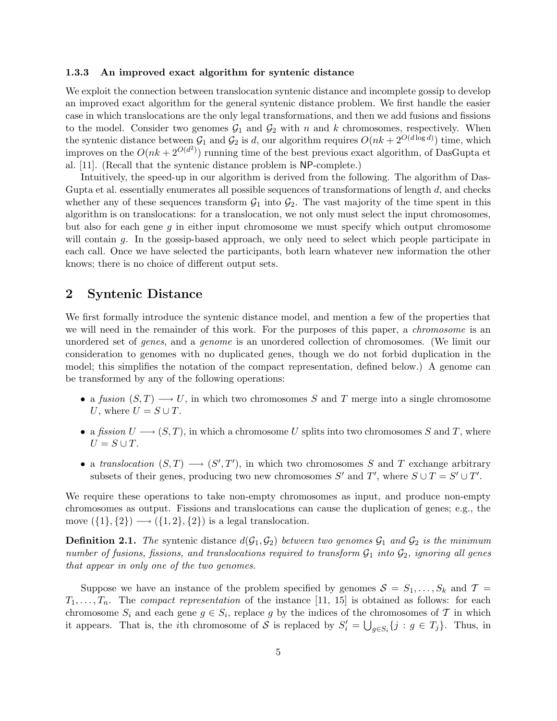#### 1.3.3 An improved exact algorithm for syntenic distance

We exploit the connection between translocation syntenic distance and incomplete gossip to develop an improved exact algorithm for the general syntenic distance problem. We first handle the easier case in which translocations are the only legal transformations, and then we add fusions and fissions to the model. Consider two genomes  $G_1$  and  $G_2$  with n and k chromosomes, respectively. When the syntenic distance between  $G_1$  and  $G_2$  is d, our algorithm requires  $O(nk + 2^{O(d \log d)})$  time, which improves on the  $O(nk + 2^{O(d^2)})$  running time of the best previous exact algorithm, of DasGupta et al. [11]. (Recall that the syntenic distance problem is NP-complete.)

Intuitively, the speed-up in our algorithm is derived from the following. The algorithm of Das-Gupta et al. essentially enumerates all possible sequences of transformations of length  $d$ , and checks whether any of these sequences transform  $\mathcal{G}_1$  into  $\mathcal{G}_2$ . The vast majority of the time spent in this algorithm is on translocations: for a translocation, we not only must select the input chromosomes, but also for each gene q in either input chromosome we must specify which output chromosome will contain g. In the gossip-based approach, we only need to select which people participate in each call. Once we have selected the participants, both learn whatever new information the other knows; there is no choice of different output sets.

## 2 Syntenic Distance

We first formally introduce the syntenic distance model, and mention a few of the properties that we will need in the remainder of this work. For the purposes of this paper, a *chromosome* is an unordered set of genes, and a genome is an unordered collection of chromosomes. (We limit our consideration to genomes with no duplicated genes, though we do not forbid duplication in the model; this simplifies the notation of the compact representation, defined below.) A genome can be transformed by any of the following operations:

- a fusion  $(S, T) \longrightarrow U$ , in which two chromosomes S and T merge into a single chromosome U, where  $U = S \cup T$ .
- a fission  $U \longrightarrow (S, T)$ , in which a chromosome U splits into two chromosomes S and T, where  $U = S \cup T$ .
- a translocation  $(S, T) \longrightarrow (S', T')$ , in which two chromosomes S and T exchange arbitrary subsets of their genes, producing two new chromosomes S' and T', where  $S \cup T = S' \cup T'$ .

We require these operations to take non-empty chromosomes as input, and produce non-empty chromosomes as output. Fissions and translocations can cause the duplication of genes; e.g., the move  $({1}, {2}) \longrightarrow ({1}, {2}, {2})$  is a legal translocation.

**Definition 2.1.** The syntenic distance  $d(G_1, G_2)$  between two genomes  $G_1$  and  $G_2$  is the minimum number of fusions, fissions, and translocations required to transform  $\mathcal{G}_1$  into  $\mathcal{G}_2$ , ignoring all genes that appear in only one of the two genomes.

Suppose we have an instance of the problem specified by genomes  $S = S_1, \ldots, S_k$  and  $\mathcal{T} =$  $T_1, \ldots, T_n$ . The *compact representation* of the instance [11, 15] is obtained as follows: for each chromosome  $S_i$  and each gene  $g \in S_i$ , replace g by the indices of the chromosomes of T in which it appears. That is, the *i*th chromosome of S is replaced by  $S_i' = \bigcup_{g \in S_i} \{j : g \in T_j\}$ . Thus, in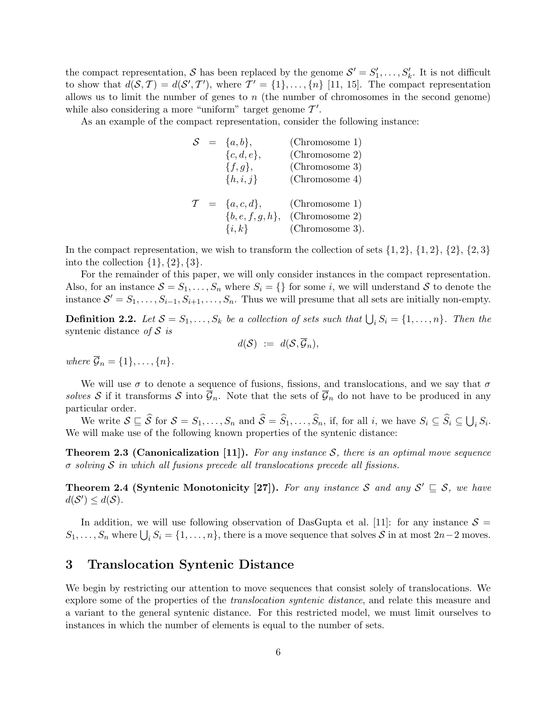the compact representation, S has been replaced by the genome  $S' = S'_1, \ldots, S'_k$ . It is not difficult to show that  $d(S, \mathcal{T}) = d(S', \mathcal{T}')$ , where  $\mathcal{T}' = \{1\}, \ldots, \{n\}$  [11, 15]. The compact representation allows us to limit the number of genes to  $n$  (the number of chromosomes in the second genome) while also considering a more "uniform" target genome  $\mathcal{T}'$ .

As an example of the compact representation, consider the following instance:

|  | $\mathcal{S} = \{a, b\},\$  | (Chromosome 1)  |
|--|-----------------------------|-----------------|
|  | $\{c,d,e\},\$               | (Chromosome 2)  |
|  | $\{f,g\},\$                 | (Chromosome 3)  |
|  | $\{h, i, j\}$               | (Chromosome 4)  |
|  |                             |                 |
|  | $\mathcal{T} = \{a,c,d\},\$ | (Chromosome 1)  |
|  | $\{b,e,f,g,h\},\$           | (Chromosome 2)  |
|  | $\{i,k\}$                   | (Chromosome 3). |

In the compact representation, we wish to transform the collection of sets  $\{1, 2\}, \{1, 2\}, \{2, 3\}$ into the collection  $\{1\}, \{2\}, \{3\}.$ 

For the remainder of this paper, we will only consider instances in the compact representation. Also, for an instance  $S = S_1, \ldots, S_n$  where  $S_i = \{\}\$ for some i, we will understand S to denote the instance  $S' = S_1, \ldots, S_{i-1}, S_{i+1}, \ldots, S_n$ . Thus we will presume that all sets are initially non-empty.

**Definition 2.2.** Let  $S = S_1, \ldots, S_k$  be a collection of sets such that  $\bigcup_i S_i = \{1, \ldots, n\}$ . Then the syntenic distance of  $S$  is

$$
d(\mathcal{S}) \ := \ d(\mathcal{S}, \overline{\mathcal{G}}_n),
$$

where  $\overline{\mathcal{G}}_n = \{1\}, \ldots, \{n\}.$ 

We will use  $\sigma$  to denote a sequence of fusions, fissions, and translocations, and we say that  $\sigma$ solves S if it transforms S into  $\overline{\mathcal{G}}_n$ . Note that the sets of  $\overline{\mathcal{G}}_n$  do not have to be produced in any particular order.

We write  $S \sqsubseteq \widehat{S}$  for  $S = S_1, \ldots, S_n$  and  $\widehat{S} = \widehat{S}_1, \ldots, \widehat{S}_n$ , if, for all i, we have  $S_i \subseteq \widehat{S}_i \subseteq \bigcup_i S_i$ . We will make use of the following known properties of the syntenic distance:

**Theorem 2.3 (Canonicalization [11]).** For any instance S, there is an optimal move sequence  $\sigma$  solving  $S$  in which all fusions precede all translocations precede all fissions.

**Theorem 2.4 (Syntenic Monotonicity [27]).** For any instance S and any  $S' \subseteq S$ , we have  $d(S') \leq d(S)$ .

In addition, we will use following observation of DasGupta et al. [11]: for any instance  $S =$  $S_1, \ldots, S_n$  where  $\bigcup_i S_i = \{1, \ldots, n\}$ , there is a move sequence that solves S in at most 2n−2 moves.

# 3 Translocation Syntenic Distance

We begin by restricting our attention to move sequences that consist solely of translocations. We explore some of the properties of the *translocation syntenic distance*, and relate this measure and a variant to the general syntenic distance. For this restricted model, we must limit ourselves to instances in which the number of elements is equal to the number of sets.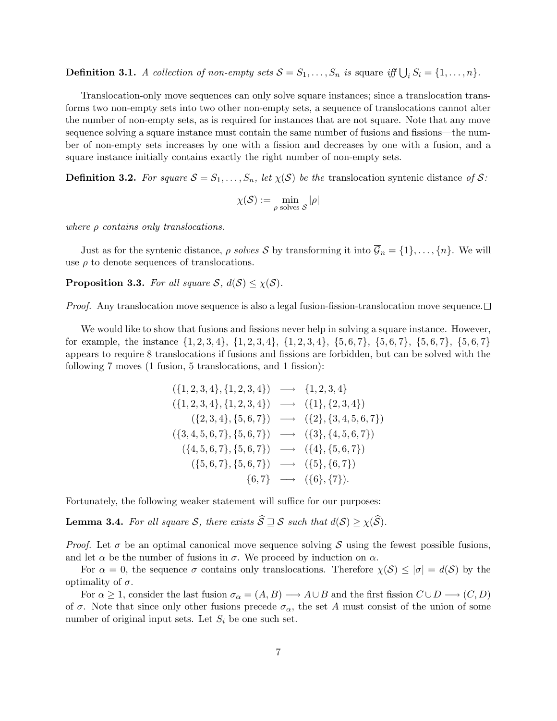**Definition 3.1.** A collection of non-empty sets  $S = S_1, \ldots, S_n$  is square iff  $\bigcup_i S_i = \{1, \ldots, n\}.$ 

Translocation-only move sequences can only solve square instances; since a translocation transforms two non-empty sets into two other non-empty sets, a sequence of translocations cannot alter the number of non-empty sets, as is required for instances that are not square. Note that any move sequence solving a square instance must contain the same number of fusions and fissions—the number of non-empty sets increases by one with a fission and decreases by one with a fusion, and a square instance initially contains exactly the right number of non-empty sets.

**Definition 3.2.** For square  $S = S_1, \ldots, S_n$ , let  $\chi(S)$  be the translocation syntenic distance of S:

$$
\chi(\mathcal{S}) := \min_{\rho \text{ solves } \mathcal{S}} |\rho|
$$

where ρ contains only translocations.

Just as for the syntenic distance,  $\rho$  solves S by transforming it into  $\overline{\mathcal{G}}_n = \{1\}, \ldots, \{n\}$ . We will use  $\rho$  to denote sequences of translocations.

**Proposition 3.3.** For all square  $S$ ,  $d(S) \leq \chi(S)$ .

*Proof.* Any translocation move sequence is also a legal fusion-fission-translocation move sequence.

We would like to show that fusions and fissions never help in solving a square instance. However, for example, the instance  $\{1, 2, 3, 4\}$ ,  $\{1, 2, 3, 4\}$ ,  $\{1, 2, 3, 4\}$ ,  $\{5, 6, 7\}$ ,  $\{5, 6, 7\}$ ,  $\{5, 6, 7\}$ ,  $\{5, 6, 7\}$ appears to require 8 translocations if fusions and fissions are forbidden, but can be solved with the following 7 moves (1 fusion, 5 translocations, and 1 fission):

$$
(\{1, 2, 3, 4\}, \{1, 2, 3, 4\}) \longrightarrow \{1, 2, 3, 4\}
$$
  
\n
$$
(\{1, 2, 3, 4\}, \{1, 2, 3, 4\}) \longrightarrow (\{1\}, \{2, 3, 4\})
$$
  
\n
$$
(\{2, 3, 4\}, \{5, 6, 7\}) \longrightarrow (\{2\}, \{3, 4, 5, 6, 7\})
$$
  
\n
$$
(\{3, 4, 5, 6, 7\}, \{5, 6, 7\}) \longrightarrow (\{3\}, \{4, 5, 6, 7\})
$$
  
\n
$$
(\{4, 5, 6, 7\}, \{5, 6, 7\}) \longrightarrow (\{4\}, \{5, 6, 7\})
$$
  
\n
$$
(\{5, 6, 7\}, \{5, 6, 7\}) \longrightarrow (\{5\}, \{6, 7\})
$$
  
\n
$$
\{6, 7\} \longrightarrow (\{6\}, \{7\}).
$$

Fortunately, the following weaker statement will suffice for our purposes:

**Lemma 3.4.** For all square S, there exists  $\hat{S} \supseteq S$  such that  $d(S) > \chi(\hat{S})$ .

*Proof.* Let  $\sigma$  be an optimal canonical move sequence solving S using the fewest possible fusions, and let  $\alpha$  be the number of fusions in  $\sigma$ . We proceed by induction on  $\alpha$ .

For  $\alpha = 0$ , the sequence  $\sigma$  contains only translocations. Therefore  $\chi(\mathcal{S}) \leq |\sigma| = d(\mathcal{S})$  by the optimality of  $\sigma$ .

For  $\alpha \geq 1$ , consider the last fusion  $\sigma_{\alpha} = (A, B) \longrightarrow A \cup B$  and the first fission  $C \cup D \longrightarrow (C, D)$ of  $\sigma$ . Note that since only other fusions precede  $\sigma_{\alpha}$ , the set A must consist of the union of some number of original input sets. Let  $S_i$  be one such set.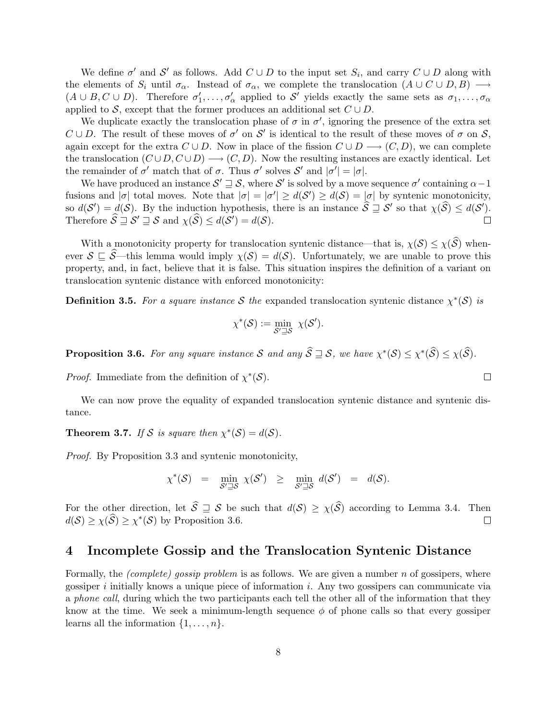We define  $\sigma'$  and  $\mathcal{S}'$  as follows. Add  $C \cup D$  to the input set  $S_i$ , and carry  $C \cup D$  along with the elements of  $S_i$  until  $\sigma_{\alpha}$ . Instead of  $\sigma_{\alpha}$ , we complete the translocation  $(A \cup C \cup D, B) \longrightarrow$  $(A\cup B, C\cup D)$ . Therefore  $\sigma'_1,\ldots,\sigma'_\alpha$  applied to S' yields exactly the same sets as  $\sigma_1,\ldots,\sigma_\alpha$ applied to S, except that the former produces an additional set  $C \cup D$ .

We duplicate exactly the translocation phase of  $\sigma$  in  $\sigma'$ , ignoring the presence of the extra set  $C \cup D$ . The result of these moves of  $\sigma'$  on  $S'$  is identical to the result of these moves of  $\sigma$  on  $S$ , again except for the extra  $C \cup D$ . Now in place of the fission  $C \cup D \longrightarrow (C, D)$ , we can complete the translocation  $(C \cup D, C \cup D) \longrightarrow (C, D)$ . Now the resulting instances are exactly identical. Let the remainder of  $\sigma'$  match that of  $\sigma$ . Thus  $\sigma'$  solves  $\mathcal{S}'$  and  $|\sigma'| = |\sigma|$ .

We have produced an instance  $\mathcal{S}' \sqsupseteq \mathcal{S}$ , where  $\mathcal{S}'$  is solved by a move sequence  $\sigma'$  containing  $\alpha-1$ fusions and  $|\sigma|$  total moves. Note that  $|\sigma| = |\sigma'| \geq d(\mathcal{S}') \geq d(\mathcal{S}) = |\sigma|$  by syntenic monotonicity, so  $d(S') = d(S)$ . By the induction hypothesis, there is an instance  $\hat{S} \supseteq S'$  so that  $\chi(\hat{S}) \leq d(S')$ . Therefore  $\widehat{S} \sqsupseteq S' \sqsupseteq S$  and  $\chi(\widehat{S}) \leq d(S') = d(S)$ .  $\Box$ 

With a monotonicity property for translocation syntenic distance—that is,  $\chi(\mathcal{S}) \leq \chi(\widehat{\mathcal{S}})$  whenever  $S \subseteq \widehat{S}$ —this lemma would imply  $\chi(S) = d(S)$ . Unfortunately, we are unable to prove this property, and, in fact, believe that it is false. This situation inspires the definition of a variant on translocation syntenic distance with enforced monotonicity:

**Definition 3.5.** For a square instance S the expanded translocation syntenic distance  $\chi^*(\mathcal{S})$  is

$$
\chi^*(\mathcal{S}) := \min_{\mathcal{S}' \supseteq \mathcal{S}} \ \chi(\mathcal{S}').
$$

**Proposition 3.6.** For any square instance S and any  $\widehat{S} \sqsupseteq S$ , we have  $\chi^*(\mathcal{S}) \leq \chi^*(\widehat{S}) \leq \chi(\widehat{S})$ .

*Proof.* Immediate from the definition of  $\chi^*(\mathcal{S})$ .

We can now prove the equality of expanded translocation syntenic distance and syntenic distance.

**Theorem 3.7.** If S is square then  $\chi^*(\mathcal{S}) = d(\mathcal{S})$ .

Proof. By Proposition 3.3 and syntenic monotonicity,

$$
\chi^*(\mathcal{S}) = \min_{\mathcal{S}' \supseteq \mathcal{S}} \chi(\mathcal{S}') \geq \min_{\mathcal{S}' \supseteq \mathcal{S}} d(\mathcal{S}') = d(\mathcal{S}).
$$

For the other direction, let  $\hat{S} \supseteq S$  be such that  $d(S) \geq \chi(\hat{S})$  according to Lemma 3.4. Then  $d(S) \ge \chi(\widehat{S}) \ge \chi^*(\mathcal{S})$  by Proposition 3.6.  $\Box$ 

### 4 Incomplete Gossip and the Translocation Syntenic Distance

Formally, the *(complete)* gossip problem is as follows. We are given a number n of gossipers, where gossiper  $i$  initially knows a unique piece of information  $i$ . Any two gossipers can communicate via a phone call, during which the two participants each tell the other all of the information that they know at the time. We seek a minimum-length sequence  $\phi$  of phone calls so that every gossiper learns all the information  $\{1, \ldots, n\}.$ 

 $\Box$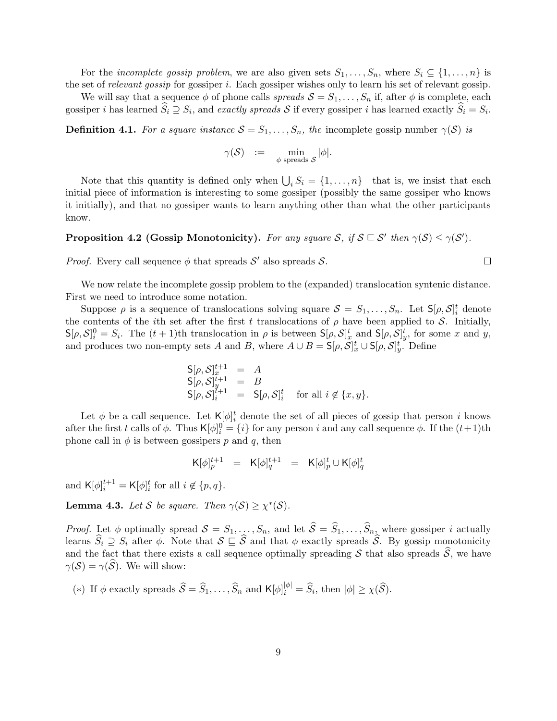For the *incomplete gossip problem*, we are also given sets  $S_1, \ldots, S_n$ , where  $S_i \subseteq \{1, \ldots, n\}$  is the set of relevant gossip for gossiper  $i$ . Each gossiper wishes only to learn his set of relevant gossip.

We will say that a sequence  $\phi$  of phone calls spreads  $S = S_1, \ldots, S_n$  if, after  $\phi$  is complete, each gossiper *i* has learned  $S_i \supseteq S_i$ , and exactly spreads S if every gossiper *i* has learned exactly  $S_i = S_i$ .

**Definition 4.1.** For a square instance  $S = S_1, \ldots, S_n$ , the incomplete gossip number  $\gamma(S)$  is

$$
\gamma(\mathcal{S}) \quad := \quad \min_{\phi \text{ spreads } \mathcal{S}} |\phi|.
$$

Note that this quantity is defined only when  $\bigcup_i S_i = \{1, \ldots, n\}$ —that is, we insist that each initial piece of information is interesting to some gossiper (possibly the same gossiper who knows it initially), and that no gossiper wants to learn anything other than what the other participants know.

## **Proposition 4.2 (Gossip Monotonicity).** For any square S, if  $S \subseteq S'$  then  $\gamma(S) \leq \gamma(S')$ .

*Proof.* Every call sequence  $\phi$  that spreads S' also spreads S.

We now relate the incomplete gossip problem to the (expanded) translocation syntenic distance. First we need to introduce some notation.

Suppose  $\rho$  is a sequence of translocations solving square  $S = S_1, \ldots, S_n$ . Let  $S[\rho, S]^t_i$  denote the contents of the *i*th set after the first t translocations of  $\rho$  have been applied to S. Initially,  $\mathsf{S}[\rho,\mathcal{S}]_i^0 = S_i$ . The  $(t+1)$ th translocation in  $\rho$  is between  $\mathsf{S}[\rho,\mathcal{S}]_x^t$  and  $\mathsf{S}[\rho,\mathcal{S}]_y^t$ , for some x and y, and produces two non-empty sets A and B, where  $A \cup B = \mathsf{S}[\rho, \mathcal{S}]^t_x \cup \mathsf{S}[\rho, \mathcal{S}]^t_y$ . Define

$$
\begin{array}{rcl}\n\mathsf{S}[\rho,S]_x^{t+1} &=& A \\
\mathsf{S}[\rho,S]_y^{t+1} &=& B \\
\mathsf{S}[\rho,S]_i^{t+1} &=& \mathsf{S}[\rho,S]_i^t \quad \text{for all } i \notin \{x,y\}.\n\end{array}
$$

Let  $\phi$  be a call sequence. Let  $\mathsf{K}[\phi]_i^t$  denote the set of all pieces of gossip that person i knows after the first t calls of  $\phi$ . Thus  $\mathsf{K}[\phi]_i^0 = \{i\}$  for any person i and any call sequence  $\phi$ . If the  $(t+1)$ th phone call in  $\phi$  is between gossipers p and q, then

$$
K[\phi]_p^{t+1} = K[\phi]_q^{t+1} = K[\phi]_p^t \cup K[\phi]_q^t
$$

and  $\mathsf{K}[\phi]_i^{t+1} = \mathsf{K}[\phi]_i^t$  for all  $i \notin \{p, q\}.$ 

**Lemma 4.3.** Let S be square. Then  $\gamma(\mathcal{S}) \geq \chi^*(\mathcal{S})$ .

*Proof.* Let  $\phi$  optimally spread  $S = S_1, \ldots, S_n$ , and let  $S = S_1, \ldots, S_n$  where gossiper i actually learns  $S_i \supseteq S_i$  after  $\phi$ . Note that  $S \sqsubseteq S$  and that  $\phi$  exactly spreads S. By gossip monotonicity and the fact that there exists a call sequence optimally spreading S that also spreads  $\widetilde{S}$ , we have  $\gamma(\mathcal{S}) = \gamma(\mathcal{S})$ . We will show:

(\*) If  $\phi$  exactly spreads  $\widehat{S} = \widehat{S}_1, \ldots, \widehat{S}_n$  and  $\mathsf{K}[\phi]_i^{|\phi|} = \widehat{S}_i$ , then  $|\phi| \geq \chi(\widehat{S})$ .

$$
\Box
$$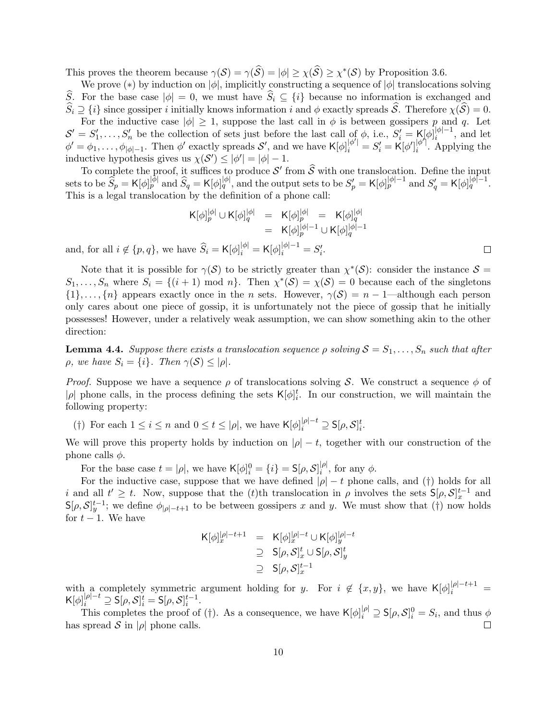This proves the theorem because  $\gamma(S) = \gamma(\widehat{S}) = |\phi| \ge \chi(\widehat{S}) \ge \chi^*(\mathcal{S})$  by Proposition 3.6.

We prove (\*) by induction on  $|\phi|$ , implicitly constructing a sequence of  $|\phi|$  translocations solving S. For the base case  $|\phi| = 0$ , we must have  $S_i \subseteq \{i\}$  because no information is exchanged and  $\widehat{S}_i \supseteq \{i\}$  since gossiper i initially knows information i and  $\phi$  exactly spreads  $\widehat{S}$ . Therefore  $\chi(\widehat{S}) = 0$ . For the inductive case  $|\phi| \geq 1$ , suppose the last call in  $\phi$  is between gossipers p and q. Let  $\mathcal{S}' = \mathcal{S}'_1, \ldots, \mathcal{S}'_n$  be the collection of sets just before the last call of  $\phi$ , i.e.,  $\mathcal{S}'_i = \mathcal{K}[\phi]_i^{|\phi|-1}$  $i^{|\varphi|-1}$ , and let  $\phi' = \phi_1, \ldots, \phi_{|\phi|-1}$ . Then  $\phi'$  exactly spreads S', and we have  $\mathsf{K}[\phi]_i^{|\phi'|} = S_i' = \mathsf{K}[\phi']_i^{|\phi'|}$  $i^{\varphi}$ . Applying the inductive hypothesis gives us  $\chi(\mathcal{S}') \leq |\phi'| = |\phi| - 1$ .

To complete the proof, it suffices to produce S' from  $\widehat{S}$  with one translocation. Define the input sets to be  $\widehat{S}_p = \mathsf{K}[\phi]_p^{|\phi|}$  and  $\widehat{S}_q = \mathsf{K}[\phi]_q^{|\phi|}$ , and the output sets to be  $S'_p = \mathsf{K}[\phi]_p^{|\phi|-1}$  and  $S'_q = \mathsf{K}[\phi]_q^{|\phi|-1}$ . This is a legal translocation by the definition of a phone call:

$$
K[\phi]_p^{|\phi|} \cup K[\phi]_q^{|\phi|} = K[\phi]_p^{|\phi|} = K[\phi]_q^{|\phi|}
$$
  
= 
$$
K[\phi]_p^{|\phi|-1} \cup K[\phi]_q^{|\phi|-1}
$$
  
ave 
$$
\widehat{S}_i = K[\phi]_i^{|\phi|} = K[\phi]_q^{|\phi|-1} = S_i'
$$

and, for all  $i \notin \{p, q\}$ , we have  $S_i$  $K[\phi]_i$  $\mathsf{N}[\varphi]_i$  $i^{|\varphi|-1}_{i} = S$  $\frac{i}{i}$ .

Note that it is possible for  $\gamma(S)$  to be strictly greater than  $\chi^*(S)$ : consider the instance  $S =$  $S_1,\ldots,S_n$  where  $S_i = \{(i+1) \text{ mod } n\}$ . Then  $\chi^*(\mathcal{S}) = \chi(\mathcal{S}) = 0$  because each of the singletons  $\{1\}, \ldots, \{n\}$  appears exactly once in the n sets. However,  $\gamma(S) = n - 1$ —although each person only cares about one piece of gossip, it is unfortunately not the piece of gossip that he initially possesses! However, under a relatively weak assumption, we can show something akin to the other direction:

**Lemma 4.4.** Suppose there exists a translocation sequence  $\rho$  solving  $S = S_1, \ldots, S_n$  such that after  $\rho$ , we have  $S_i = \{i\}$ . Then  $\gamma(S) \leq |\rho|$ .

*Proof.* Suppose we have a sequence  $\rho$  of translocations solving S. We construct a sequence  $\phi$  of | $|\rho|$  phone calls, in the process defining the sets  $\mathsf{K}[\phi]_i^t$ . In our construction, we will maintain the following property:

(†) For each  $1 \leq i \leq n$  and  $0 \leq t \leq |\rho|$ , we have  $\mathsf{K}[\phi]_i^{|\rho|-t} \supseteq \mathsf{S}[\rho, \mathcal{S}]_i^t$ .

We will prove this property holds by induction on  $|\rho| - t$ , together with our construction of the phone calls  $\phi$ .

For the base case  $t = |\rho|$ , we have  $\mathsf{K}[\phi]_i^0 = \{i\} = \mathsf{S}[\rho, \mathcal{S}]_i^{|\rho|}$  $i^{\mid \mu \mid}$ , for any  $\phi$ .

For the inductive case, suppose that we have defined  $|\rho| - t$  phone calls, and (†) holds for all i and all  $t' \geq t$ . Now, suppose that the (t)th translocation in  $\rho$  involves the sets  $\mathsf{S}[\rho,\mathcal{S}]_x^{t-1}$  and  $\mathsf{S}[\rho,\mathcal{S}]^{t-1}_{y}$ ; we define  $\phi_{|\rho|-t+1}$  to be between gossipers x and y. We must show that (†) now holds for  $t-1$ . We have

$$
\begin{array}{rcl}\n\mathsf{K}[\phi]_x^{|\rho|-t+1} & = & \mathsf{K}[\phi]_x^{|\rho|-t} \cup \mathsf{K}[\phi]_y^{|\rho|-t} \\
& \supseteq & \mathsf{S}[\rho, \mathcal{S}]_x^t \cup \mathsf{S}[\rho, \mathcal{S}]_y^t \\
& \supseteq & \mathsf{S}[\rho, \mathcal{S}]_x^{t-1}\n\end{array}
$$

with a completely symmetric argument holding for y. For  $i \notin \{x, y\}$ , we have  $\mathsf{K}[\phi]_i^{|\rho|-t+1} =$  $\mathsf{K}[\phi]_i^{|\rho|-t} \supseteq \mathsf{S}[\rho, \mathcal{S}]_i^t = \mathsf{S}[\rho, \mathcal{S}]_i^{t-1}.$ 

This completes the proof of (†). As a consequence, we have  $\mathsf{K}[\phi]_i^{|\rho|} \supseteq \mathsf{S}[\rho, \mathcal{S}]_i^0 = S_i$ , and thus  $\phi$ has spread  $\mathcal S$  in  $|\rho|$  phone calls.  $\Box$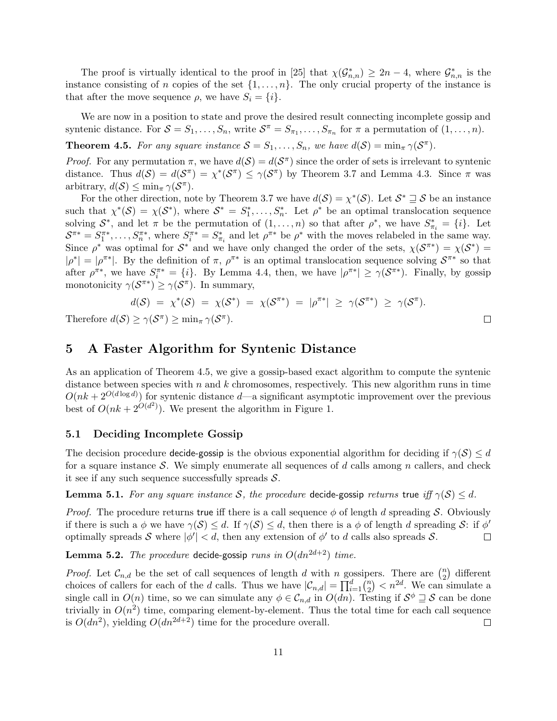The proof is virtually identical to the proof in [25] that  $\chi(\mathcal{G}_{n,n}^*) \geq 2n-4$ , where  $\mathcal{G}_{n,n}^*$  is the instance consisting of n copies of the set  $\{1, \ldots, n\}$ . The only crucial property of the instance is that after the move sequence  $\rho$ , we have  $S_i = \{i\}.$ 

We are now in a position to state and prove the desired result connecting incomplete gossip and syntenic distance. For  $S = S_1, \ldots, S_n$ , write  $S^{\pi} = S_{\pi_1}, \ldots, S_{\pi_n}$  for  $\pi$  a permutation of  $(1, \ldots, n)$ .

**Theorem 4.5.** For any square instance  $S = S_1, \ldots, S_n$ , we have  $d(S) = \min_{\pi} \gamma(S^{\pi})$ .

*Proof.* For any permutation  $\pi$ , we have  $d(S) = d(S^{\pi})$  since the order of sets is irrelevant to syntenic distance. Thus  $d(S) = d(S^{\pi}) = \chi^*(S^{\pi}) \leq \gamma(S^{\pi})$  by Theorem 3.7 and Lemma 4.3. Since  $\pi$  was arbitrary,  $d(S) \leq \min_{\pi} \gamma(S^{\pi}).$ 

For the other direction, note by Theorem 3.7 we have  $d(S) = \chi^*(S)$ . Let  $S^* \sqsupseteq S$  be an instance such that  $\chi^*(\mathcal{S}) = \chi(\mathcal{S}^*)$ , where  $\mathcal{S}^* = S_1^*, \ldots, S_n^*$ . Let  $\rho^*$  be an optimal translocation sequence solving  $S^*$ , and let  $\pi$  be the permutation of  $(1,\ldots,n)$  so that after  $\rho^*$ , we have  $S^*_{\pi_i} = \{i\}$ . Let  $S^{\pi*} = S^{\pi*}_1, \ldots, S^{\pi*}_n$ , where  $S^{\pi*}_i = S^*_{\pi_i}$  and let  $\rho^{\pi*}$  be  $\rho^*$  with the moves relabeled in the same way. Since  $\rho^*$  was optimal for  $\mathcal{S}^*$  and we have only changed the order of the sets,  $\chi(\mathcal{S}^{\pi*}) = \chi(\mathcal{S}^*)$  $|\rho^*| = |\rho^{\pi*}|$ . By the definition of  $\pi$ ,  $\rho^{\pi*}$  is an optimal translocation sequence solving  $S^{\pi*}$  so that after  $\rho^{\pi*}$ , we have  $S_i^{\pi*} = \{i\}$ . By Lemma 4.4, then, we have  $|\rho^{\pi*}| \ge \gamma(\mathcal{S}^{\pi*})$ . Finally, by gossip monotonicity  $\gamma(\mathcal{S}^{\pi*}) \geq \gamma(\mathcal{S}^{\pi})$ . In summary,

$$
d(\mathcal{S}) = \chi^*(\mathcal{S}) = \chi(\mathcal{S}^*) = \chi(\mathcal{S}^{\pi^*}) = |\rho^{\pi^*}| \geq \gamma(\mathcal{S}^{\pi^*}) \geq \gamma(\mathcal{S}^{\pi}).
$$

Therefore  $d(S) \geq \gamma(S^{\pi}) \geq \min_{\pi} \gamma(S^{\pi})$ .

### 5 A Faster Algorithm for Syntenic Distance

As an application of Theorem 4.5, we give a gossip-based exact algorithm to compute the syntenic distance between species with n and k chromosomes, respectively. This new algorithm runs in time  $O(nk + 2^{O(d \log d)})$  for syntenic distance d—a significant asymptotic improvement over the previous best of  $O(nk + 2^{O(d^2)})$ . We present the algorithm in Figure 1.

### 5.1 Deciding Incomplete Gossip

The decision procedure decide-gossip is the obvious exponential algorithm for deciding if  $\gamma(S) \leq d$ for a square instance S. We simply enumerate all sequences of d calls among n callers, and check it see if any such sequence successfully spreads  $\mathcal{S}$ .

**Lemma 5.1.** For any square instance S, the procedure decide-gossip returns true iff  $\gamma(S) \leq d$ .

*Proof.* The procedure returns true iff there is a call sequence  $\phi$  of length d spreading S. Obviously if there is such a  $\phi$  we have  $\gamma(S) \leq d$ . If  $\gamma(S) \leq d$ , then there is a  $\phi$  of length d spreading S: if  $\phi'$ optimally spreads S where  $|\phi'| < d$ , then any extension of  $\phi'$  to d calls also spreads S.  $\Box$ 

Lemma 5.2. The procedure decide-gossip runs in  $O(dn^{2d+2})$  time.

*Proof.* Let  $\mathcal{C}_{n,d}$  be the set of call sequences of length d with n gossipers. There are  $\binom{n}{2}$  $n \choose 2$  different choices of callers for each of the d calls. Thus we have  $|\mathcal{C}_{n,d}| = \prod_{i=1}^d \binom{n}{2}$  $\binom{n}{2}$  <  $n^{2d}$ . We can simulate a single call in  $O(n)$  time, so we can simulate any  $\phi \in \mathcal{C}_{n,d}$  in  $O(dn)$ . Testing if  $\mathcal{S}^{\phi} \supseteq \mathcal{S}$  can be done trivially in  $O(n^2)$  time, comparing element-by-element. Thus the total time for each call sequence is  $O(dn^2)$ , yielding  $O(dn^{2d+2})$  time for the procedure overall.  $\Box$ 

 $\Box$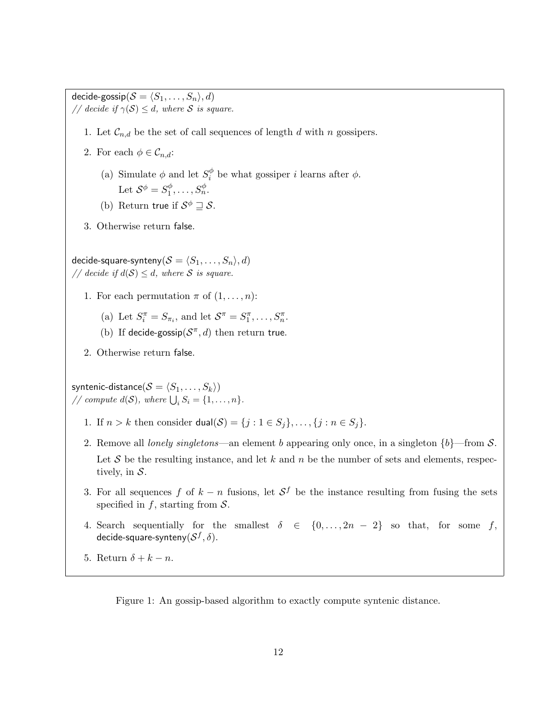decide-gossip $(S = \langle S_1, \ldots, S_n \rangle, d)$ // decide if  $\gamma(S) \leq d$ , where S is square.

- 1. Let  $\mathcal{C}_{n,d}$  be the set of call sequences of length d with n gossipers.
- 2. For each  $\phi \in \mathcal{C}_{n,d}$ :
	- (a) Simulate  $\phi$  and let  $S_i^{\phi}$  $\frac{\varphi}{i}$  be what gossiper *i* learns after  $\phi$ . Let  $\mathcal{S}^{\phi} = S_1^{\phi}$  $s_1^{\phi}, \ldots, S_n^{\phi}.$
	- (b) Return true if  $S^{\phi} \sqsupseteq S$ .
- 3. Otherwise return false.

decide-square-synteny $(\mathcal{S} = \langle S_1, \ldots, S_n \rangle, d)$ // decide if  $d(S) \leq d$ , where S is square.

- 1. For each permutation  $\pi$  of  $(1, \ldots, n)$ :
	- (a) Let  $S_i^{\pi} = S_{\pi_i}$ , and let  $S^{\pi} = S_1^{\pi}, \ldots, S_n^{\pi}$ .
	- (b) If decide-gossip( $S^{\pi}, d$ ) then return true.
- 2. Otherwise return false.

syntenic-distance $(\mathcal{S} = \langle S_1, \ldots, S_k \rangle)$ // compute  $d(S)$ , where  $\bigcup_i S_i = \{1, \ldots, n\}.$ 

- 1. If  $n > k$  then consider dual(S) = { $j : 1 \in S_j$ }, ..., { $j : n \in S_j$ }.
- 2. Remove all lonely singletons—an element b appearing only once, in a singleton  ${b}$ —from S. Let S be the resulting instance, and let k and n be the number of sets and elements, respectively, in  $S$ .
- 3. For all sequences f of  $k n$  fusions, let  $S<sup>f</sup>$  be the instance resulting from fusing the sets specified in  $f$ , starting from  $\mathcal{S}$ .
- 4. Search sequentially for the smallest  $\delta \in \{0, \ldots, 2n-2\}$  so that, for some f, decide-square-synteny $(\mathcal{S}^f, \delta).$
- 5. Return  $\delta + k n$ .

Figure 1: An gossip-based algorithm to exactly compute syntenic distance.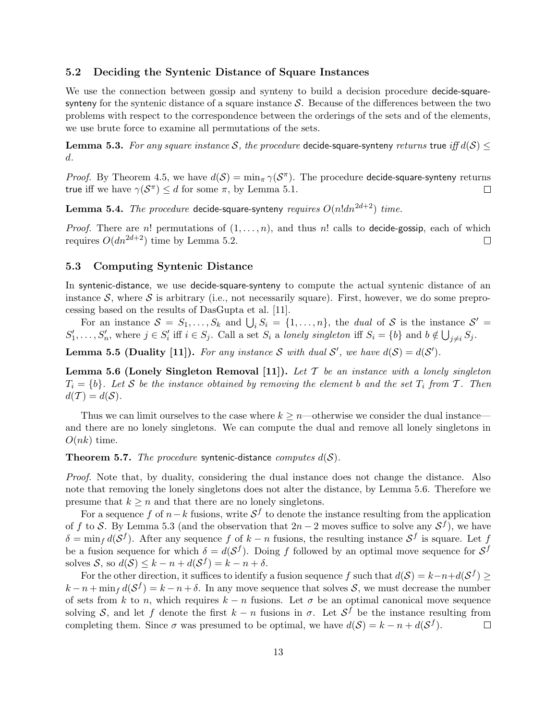### 5.2 Deciding the Syntenic Distance of Square Instances

We use the connection between gossip and synteny to build a decision procedure decide-squaresynteny for the syntenic distance of a square instance  $S$ . Because of the differences between the two problems with respect to the correspondence between the orderings of the sets and of the elements, we use brute force to examine all permutations of the sets.

**Lemma 5.3.** For any square instance S, the procedure decide-square-synteny returns true iff  $d(S) \leq$ d.

*Proof.* By Theorem 4.5, we have  $d(S) = \min_{\pi} \gamma(S^{\pi})$ . The procedure decide-square-synteny returns true iff we have  $\gamma(\mathcal{S}^{\pi}) \leq d$  for some  $\pi$ , by Lemma 5.1.  $\Box$ 

Lemma 5.4. The procedure decide-square-synteny requires  $O(n!dn^{2d+2})$  time.

*Proof.* There are n! permutations of  $(1, \ldots, n)$ , and thus n! calls to decide-gossip, each of which requires  $O(dn^{2d+2})$  time by Lemma 5.2.  $\Box$ 

### 5.3 Computing Syntenic Distance

In syntenic-distance, we use decide-square-synteny to compute the actual syntenic distance of an instance S, where S is arbitrary (i.e., not necessarily square). First, however, we do some preprocessing based on the results of DasGupta et al. [11].

For an instance  $S = S_1, \ldots, S_k$  and  $\bigcup_i S_i = \{1, \ldots, n\}$ , the *dual* of S is the instance  $S' =$  $S'_1, \ldots, S'_n$ , where  $j \in S'_i$  iff  $i \in S_j$ . Call a set  $S_i$  a lonely singleton iff  $S_i = \{b\}$  and  $b \notin \bigcup_{j \neq i} S_j$ .

**Lemma 5.5 (Duality [11]).** For any instance S with dual S', we have  $d(S) = d(S')$ .

**Lemma 5.6 (Lonely Singleton Removal [11]).** Let T be an instance with a lonely singleton  $T_i = \{b\}$ . Let S be the instance obtained by removing the element b and the set  $T_i$  from T. Then  $d(\mathcal{T}) = d(\mathcal{S}).$ 

Thus we can limit ourselves to the case where  $k \geq n$ —otherwise we consider the dual instance and there are no lonely singletons. We can compute the dual and remove all lonely singletons in  $O(nk)$  time.

**Theorem 5.7.** The procedure syntenic-distance computes  $d(S)$ .

Proof. Note that, by duality, considering the dual instance does not change the distance. Also note that removing the lonely singletons does not alter the distance, by Lemma 5.6. Therefore we presume that  $k \geq n$  and that there are no lonely singletons.

For a sequence f of  $n-k$  fusions, write  $\mathcal{S}^f$  to denote the instance resulting from the application of f to S. By Lemma 5.3 (and the observation that  $2n-2$  moves suffice to solve any  $S<sup>f</sup>$ ), we have  $\delta = \min_f d(S^f)$ . After any sequence f of  $k - n$  fusions, the resulting instance  $S^f$  is square. Let f be a fusion sequence for which  $\delta = d(S^f)$ . Doing f followed by an optimal move sequence for  $S^f$ solves S, so  $d(S) \leq k - n + d(S^f) = k - n + \delta$ .

For the other direction, it suffices to identify a fusion sequence f such that  $d(S) = k - n + d(S^f) \ge$  $k - n + \min_f d(S^f) = k - n + \delta$ . In any move sequence that solves S, we must decrease the number of sets from k to n, which requires  $k - n$  fusions. Let  $\sigma$  be an optimal canonical move sequence solving S, and let f denote the first  $k - n$  fusions in  $\sigma$ . Let  $S^f$  be the instance resulting from completing them. Since  $\sigma$  was presumed to be optimal, we have  $d(S) = k - n + d(S^f)$ .  $\Box$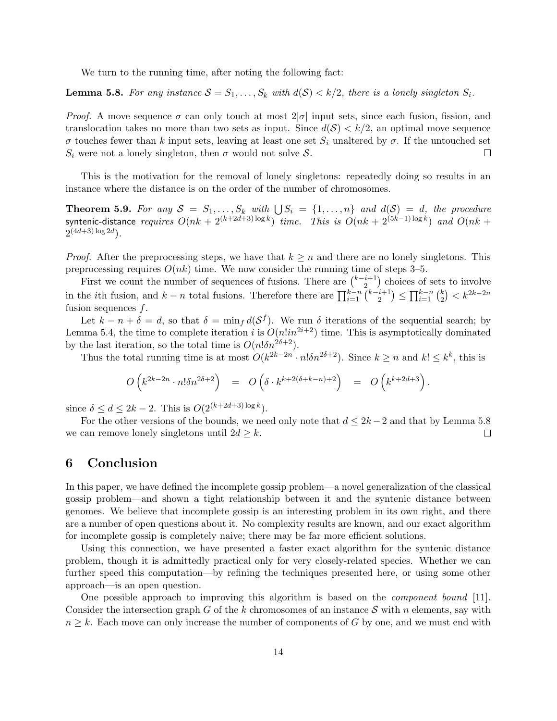We turn to the running time, after noting the following fact:

**Lemma 5.8.** For any instance  $S = S_1, \ldots, S_k$  with  $d(S) < k/2$ , there is a lonely singleton  $S_i$ .

*Proof.* A move sequence  $\sigma$  can only touch at most  $2|\sigma|$  input sets, since each fusion, fission, and translocation takes no more than two sets as input. Since  $d(S) < k/2$ , an optimal move sequence σ touches fewer than k input sets, leaving at least one set S<sup>i</sup> unaltered by σ. If the untouched set  $S_i$  were not a lonely singleton, then  $\sigma$  would not solve S.  $\Box$ 

This is the motivation for the removal of lonely singletons: repeatedly doing so results in an instance where the distance is on the order of the number of chromosomes.

**Theorem 5.9.** For any  $S = S_1, \ldots, S_k$  with  $\bigcup S_i = \{1, \ldots, n\}$  and  $d(S) = d$ , the procedure syntenic-distance  $requires\ O(nk+2^{(k+2d+3)\log k})$   $time.$   $This\ is\ O(nk+2^{(5k-1)\log k})$   $and\ O(nk+2^{(5k-1)\log k})$  $2^{(4d+3)\log 2d}$ .

*Proof.* After the preprocessing steps, we have that  $k \geq n$  and there are no lonely singletons. This preprocessing requires  $O(nk)$  time. We now consider the running time of steps 3–5.

First we count the number of sequences of fusions. There are  $\binom{k-i+1}{2}$  $i+1 \choose 2$  choices of sets to involve in the *i*th fusion, and  $k - n$  total fusions. Therefore there are  $\prod_{i=1}^{k-n}$   $\binom{k-i+1}{2}$  $\binom{i+1}{2} \leq \prod_{i=1}^{k-n} \binom{k}{2}$  $\binom{k}{2} < k^{2k-2n}$ fusion sequences  $f$ .

Let  $k - n + \delta = d$ , so that  $\delta = \min_f d(S^f)$ . We run  $\delta$  iterations of the sequential search; by Lemma 5.4, the time to complete iteration i is  $O(n!in^{2i+2})$  time. This is asymptotically dominated by the last iteration, so the total time is  $O(n!\delta n^{2\delta+2})$ .

Thus the total running time is at most  $O(k^{2k-2n} \cdot n! \delta n^{2\delta+2})$ . Since  $k \geq n$  and  $k! \leq k^k$ , this is

$$
O\left(k^{2k-2n} \cdot n! \delta n^{2\delta+2}\right) = O\left(\delta \cdot k^{k+2(\delta+k-n)+2}\right) = O\left(k^{k+2d+3}\right).
$$

since  $\delta \leq d \leq 2k-2$ . This is  $O(2^{(k+2d+3)\log k})$ .

For the other versions of the bounds, we need only note that  $d \leq 2k - 2$  and that by Lemma 5.8 we can remove lonely singletons until  $2d \geq k$ .  $\Box$ 

# 6 Conclusion

In this paper, we have defined the incomplete gossip problem—a novel generalization of the classical gossip problem—and shown a tight relationship between it and the syntenic distance between genomes. We believe that incomplete gossip is an interesting problem in its own right, and there are a number of open questions about it. No complexity results are known, and our exact algorithm for incomplete gossip is completely naive; there may be far more efficient solutions.

Using this connection, we have presented a faster exact algorithm for the syntenic distance problem, though it is admittedly practical only for very closely-related species. Whether we can further speed this computation—by refining the techniques presented here, or using some other approach—is an open question.

One possible approach to improving this algorithm is based on the component bound [11]. Consider the intersection graph G of the k chromosomes of an instance S with n elements, say with  $n \geq k$ . Each move can only increase the number of components of G by one, and we must end with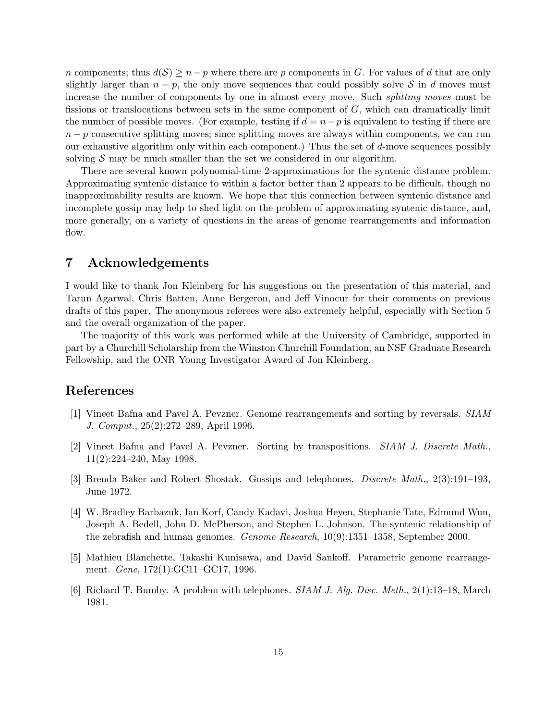n components; thus  $d(S) \geq n - p$  where there are p components in G. For values of d that are only slightly larger than  $n - p$ , the only move sequences that could possibly solve S in d moves must increase the number of components by one in almost every move. Such splitting moves must be fissions or translocations between sets in the same component of  $G$ , which can dramatically limit the number of possible moves. (For example, testing if  $d = n - p$  is equivalent to testing if there are  $n - p$  consecutive splitting moves; since splitting moves are always within components, we can run our exhaustive algorithm only within each component.) Thus the set of  $d$ -move sequences possibly solving  $S$  may be much smaller than the set we considered in our algorithm.

There are several known polynomial-time 2-approximations for the syntenic distance problem. Approximating syntenic distance to within a factor better than 2 appears to be difficult, though no inapproximability results are known. We hope that this connection between syntenic distance and incomplete gossip may help to shed light on the problem of approximating syntenic distance, and, more generally, on a variety of questions in the areas of genome rearrangements and information flow.

# 7 Acknowledgements

I would like to thank Jon Kleinberg for his suggestions on the presentation of this material, and Tarun Agarwal, Chris Batten, Anne Bergeron, and Jeff Vinocur for their comments on previous drafts of this paper. The anonymous referees were also extremely helpful, especially with Section 5 and the overall organization of the paper.

The majority of this work was performed while at the University of Cambridge, supported in part by a Churchill Scholarship from the Winston Churchill Foundation, an NSF Graduate Research Fellowship, and the ONR Young Investigator Award of Jon Kleinberg.

# References

- [1] Vineet Bafna and Pavel A. Pevzner. Genome rearrangements and sorting by reversals. SIAM J. Comput., 25(2):272–289, April 1996.
- [2] Vineet Bafna and Pavel A. Pevzner. Sorting by transpositions. SIAM J. Discrete Math., 11(2):224–240, May 1998.
- [3] Brenda Baker and Robert Shostak. Gossips and telephones. Discrete Math., 2(3):191–193, June 1972.
- [4] W. Bradley Barbazuk, Ian Korf, Candy Kadavi, Joshua Heyen, Stephanie Tate, Edmund Wun, Joseph A. Bedell, John D. McPherson, and Stephen L. Johnson. The syntenic relationship of the zebrafish and human genomes. Genome Research, 10(9):1351–1358, September 2000.
- [5] Mathieu Blanchette, Takashi Kunisawa, and David Sankoff. Parametric genome rearrangement. Gene, 172(1):GC11–GC17, 1996.
- [6] Richard T. Bumby. A problem with telephones. SIAM J. Alg. Disc. Meth., 2(1):13–18, March 1981.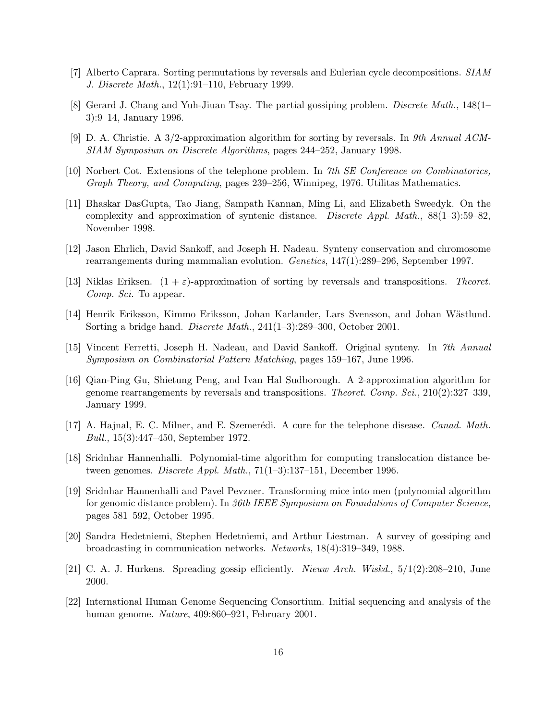- [7] Alberto Caprara. Sorting permutations by reversals and Eulerian cycle decompositions. SIAM J. Discrete Math., 12(1):91–110, February 1999.
- [8] Gerard J. Chang and Yuh-Jiuan Tsay. The partial gossiping problem. Discrete Math., 148(1– 3):9–14, January 1996.
- [9] D. A. Christie. A 3/2-approximation algorithm for sorting by reversals. In 9th Annual ACM-SIAM Symposium on Discrete Algorithms, pages 244–252, January 1998.
- [10] Norbert Cot. Extensions of the telephone problem. In 7th SE Conference on Combinatorics, Graph Theory, and Computing, pages 239–256, Winnipeg, 1976. Utilitas Mathematics.
- [11] Bhaskar DasGupta, Tao Jiang, Sampath Kannan, Ming Li, and Elizabeth Sweedyk. On the complexity and approximation of syntenic distance. Discrete Appl. Math.,  $88(1-3):59-82$ . November 1998.
- [12] Jason Ehrlich, David Sankoff, and Joseph H. Nadeau. Synteny conservation and chromosome rearrangements during mammalian evolution. Genetics, 147(1):289–296, September 1997.
- [13] Niklas Eriksen.  $(1 + \varepsilon)$ -approximation of sorting by reversals and transpositions. Theoret. Comp. Sci. To appear.
- [14] Henrik Eriksson, Kimmo Eriksson, Johan Karlander, Lars Svensson, and Johan W¨astlund. Sorting a bridge hand. Discrete Math., 241(1–3):289–300, October 2001.
- [15] Vincent Ferretti, Joseph H. Nadeau, and David Sankoff. Original synteny. In 7th Annual Symposium on Combinatorial Pattern Matching, pages 159–167, June 1996.
- [16] Qian-Ping Gu, Shietung Peng, and Ivan Hal Sudborough. A 2-approximation algorithm for genome rearrangements by reversals and transpositions. Theoret. Comp. Sci., 210(2):327–339, January 1999.
- [17] A. Hajnal, E. C. Milner, and E. Szemerédi. A cure for the telephone disease. *Canad. Math.* Bull., 15(3):447–450, September 1972.
- [18] Sridnhar Hannenhalli. Polynomial-time algorithm for computing translocation distance between genomes. Discrete Appl. Math.,  $71(1-3):137-151$ , December 1996.
- [19] Sridnhar Hannenhalli and Pavel Pevzner. Transforming mice into men (polynomial algorithm for genomic distance problem). In 36th IEEE Symposium on Foundations of Computer Science, pages 581–592, October 1995.
- [20] Sandra Hedetniemi, Stephen Hedetniemi, and Arthur Liestman. A survey of gossiping and broadcasting in communication networks. Networks, 18(4):319–349, 1988.
- [21] C. A. J. Hurkens. Spreading gossip efficiently. Nieuw Arch. Wiskd., 5/1(2):208–210, June 2000.
- [22] International Human Genome Sequencing Consortium. Initial sequencing and analysis of the human genome. Nature, 409:860–921, February 2001.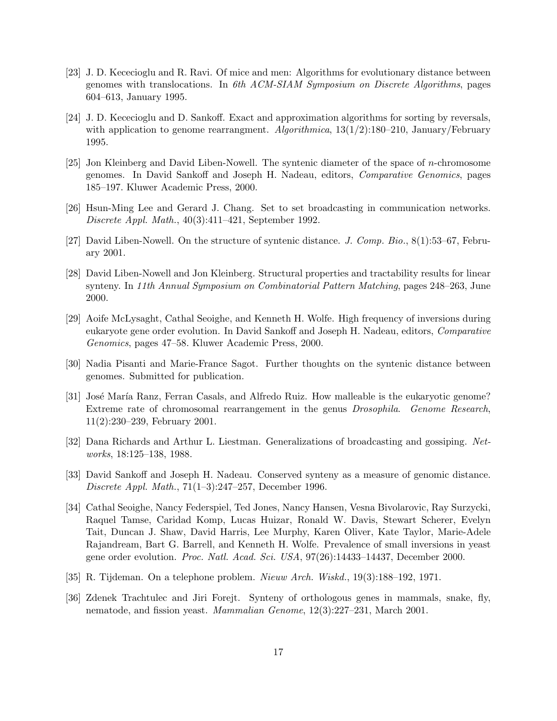- [23] J. D. Kececioglu and R. Ravi. Of mice and men: Algorithms for evolutionary distance between genomes with translocations. In 6th ACM-SIAM Symposium on Discrete Algorithms, pages 604–613, January 1995.
- [24] J. D. Kececioglu and D. Sankoff. Exact and approximation algorithms for sorting by reversals, with application to genome rearrangment.  $Algorithmica$ ,  $13(1/2):180-210$ , January/February 1995.
- [25] Jon Kleinberg and David Liben-Nowell. The syntenic diameter of the space of n-chromosome genomes. In David Sankoff and Joseph H. Nadeau, editors, Comparative Genomics, pages 185–197. Kluwer Academic Press, 2000.
- [26] Hsun-Ming Lee and Gerard J. Chang. Set to set broadcasting in communication networks. Discrete Appl. Math., 40(3):411–421, September 1992.
- [27] David Liben-Nowell. On the structure of syntenic distance. J. Comp. Bio., 8(1):53–67, February 2001.
- [28] David Liben-Nowell and Jon Kleinberg. Structural properties and tractability results for linear synteny. In 11th Annual Symposium on Combinatorial Pattern Matching, pages 248–263, June 2000.
- [29] Aoife McLysaght, Cathal Seoighe, and Kenneth H. Wolfe. High frequency of inversions during eukaryote gene order evolution. In David Sankoff and Joseph H. Nadeau, editors, Comparative Genomics, pages 47–58. Kluwer Academic Press, 2000.
- [30] Nadia Pisanti and Marie-France Sagot. Further thoughts on the syntenic distance between genomes. Submitted for publication.
- [31] José María Ranz, Ferran Casals, and Alfredo Ruiz. How malleable is the eukaryotic genome? Extreme rate of chromosomal rearrangement in the genus Drosophila. Genome Research, 11(2):230–239, February 2001.
- [32] Dana Richards and Arthur L. Liestman. Generalizations of broadcasting and gossiping. Networks, 18:125–138, 1988.
- [33] David Sankoff and Joseph H. Nadeau. Conserved synteny as a measure of genomic distance. Discrete Appl. Math., 71(1–3):247–257, December 1996.
- [34] Cathal Seoighe, Nancy Federspiel, Ted Jones, Nancy Hansen, Vesna Bivolarovic, Ray Surzycki, Raquel Tamse, Caridad Komp, Lucas Huizar, Ronald W. Davis, Stewart Scherer, Evelyn Tait, Duncan J. Shaw, David Harris, Lee Murphy, Karen Oliver, Kate Taylor, Marie-Adele Rajandream, Bart G. Barrell, and Kenneth H. Wolfe. Prevalence of small inversions in yeast gene order evolution. Proc. Natl. Acad. Sci. USA, 97(26):14433–14437, December 2000.
- [35] R. Tijdeman. On a telephone problem. Nieuw Arch. Wiskd., 19(3):188–192, 1971.
- [36] Zdenek Trachtulec and Jiri Forejt. Synteny of orthologous genes in mammals, snake, fly, nematode, and fission yeast. Mammalian Genome, 12(3):227–231, March 2001.